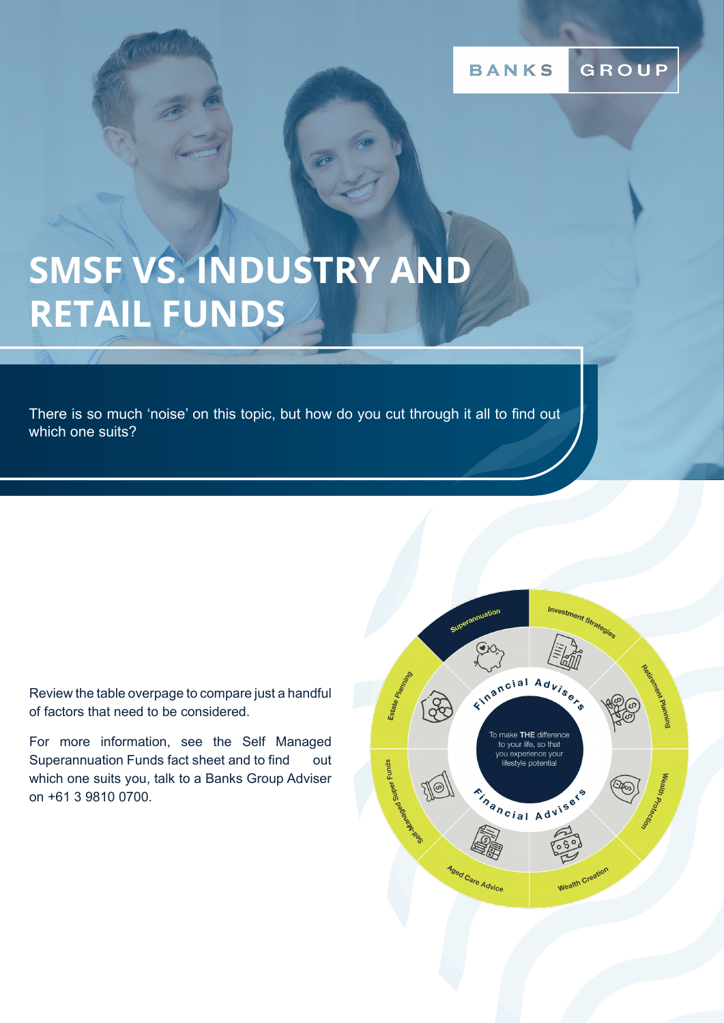GROUP **BANKS** 

## **SMSF VS. INDUSTRY AND RETAIL FUNDS**

There is so much 'noise' on this topic, but how do you cut through it all to find out which one suits?

Review the table overpage to compare just a handful of factors that need to be considered.

For more information, see the Self Managed Superannuation Funds fact sheet and to find out which one suits you, talk to a Banks Group Adviser on +61 3 9810 0700.

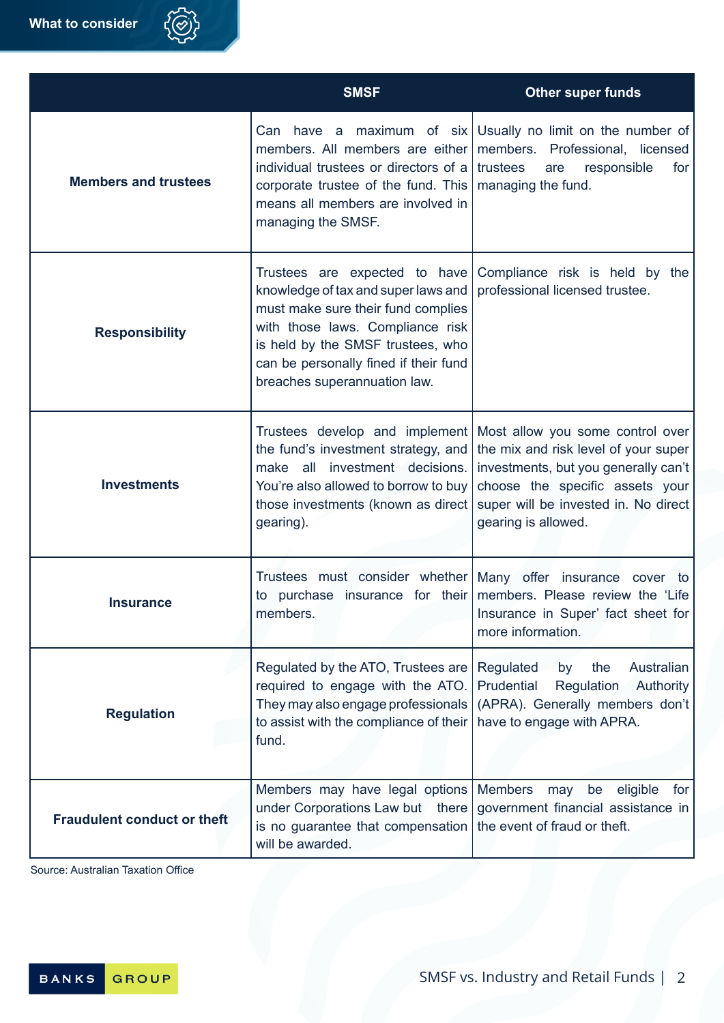|                                    | <b>SMSF</b>                                                                                                                                                                                                                                                  | <b>Other super funds</b>                                                                                                                                                                                           |
|------------------------------------|--------------------------------------------------------------------------------------------------------------------------------------------------------------------------------------------------------------------------------------------------------------|--------------------------------------------------------------------------------------------------------------------------------------------------------------------------------------------------------------------|
| <b>Members and trustees</b>        | members. All members are either<br>individual trustees or directors of a<br>corporate trustee of the fund. This<br>means all members are involved in<br>managing the SMSF.                                                                                   | Can have a maximum of $six$ Usually no limit on the number of<br>members. Professional, licensed<br>trustees<br>responsible<br>for<br>are<br>managing the fund.                                                    |
| <b>Responsibility</b>              | Trustees are expected to have<br>knowledge of tax and super laws and<br>must make sure their fund complies<br>with those laws. Compliance risk<br>is held by the SMSF trustees, who<br>can be personally fined if their fund<br>breaches superannuation law. | Compliance risk is held by the<br>professional licensed trustee.                                                                                                                                                   |
| <b>Investments</b>                 | Trustees develop and implement<br>the fund's investment strategy, and<br>make all investment decisions.<br>You're also allowed to borrow to buy<br>those investments (known as direct)<br>gearing).                                                          | Most allow you some control over<br>the mix and risk level of your super<br>investments, but you generally can't<br>choose the specific assets your<br>super will be invested in. No direct<br>gearing is allowed. |
| <b>Insurance</b>                   | members.                                                                                                                                                                                                                                                     | Trustees must consider whether Many offer insurance cover to<br>to purchase insurance for their members. Please review the 'Life<br>Insurance in Super' fact sheet for<br>more information.                        |
| <b>Regulation</b>                  | Regulated by the ATO, Trustees are<br>required to engage with the ATO.<br>They may also engage professionals<br>to assist with the compliance of their<br>fund.                                                                                              | Regulated<br>the<br>Australian<br>by<br>Prudential<br>Regulation Authority<br>(APRA). Generally members don't<br>have to engage with APRA.                                                                         |
| <b>Fraudulent conduct or theft</b> | Members may have legal options Members<br>under Corporations Law but there<br>is no guarantee that compensation   the event of fraud or theft.<br>will be awarded.                                                                                           | eligible<br>for<br>may<br>be<br>government financial assistance in                                                                                                                                                 |

Source: Australian Taxation Office